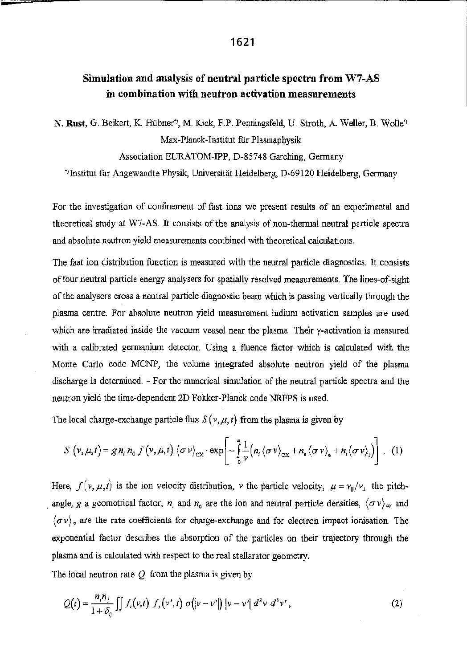## Simulation and analysis of neutral particle spectra from W7-AS in combination with neutron activation measurements

N. Rust, G. Beikert, K. Hubner", M. Kick, F.P, Penningsfeld, U, Stroth, A. Weller, B. Wolle'l Max-Planck-Instirut flir Plasmaphysik

## Association EURATOM-IPP, D-85748 Garching, Germany

"Institut für Angewandte Physik, Universität Heidelberg, D-69120 Heidelberg, Germany

For the investigation of confinement of fast ions we present results of an experimental and theoretical study at W7-AS. It consists of the analysis of non-thermal neutral particle spectra and absolute neutron yield measurements combined with theoretical calculations.

The fast ion distribution function is measured with the neutral particle diagnostics. It consists offour neutral particle energy analysers for spatially resolved measurements. The lines—of—sight of the analysers cross <sup>a</sup> neutral particle diagnostic beam which is passing vertically through the plasma centre. For absolute neutron yield measurement indium activation samples are used which are irradiated inside the vacuum vessel near the plasma. Their y-activation is measured with <sup>a</sup> calibrated germanium detector. Using <sup>a</sup> fluence factor which is calculated with the Monte Carlo code MCN'P, the volume integrated absolute neutron yield of the plasma discharge is determined. — For the numerical simulation of the neutral particle spectra and the neutron yield the time-dependent 2D Fokker-Planck code NRFPS is used.

The local charge-exchange particle flux  $S(v, \mu, t)$  from the plasma is given by

$$
S(v, \mu, t) = g n_i n_0 f(v, \mu, t) \langle \sigma v \rangle_{\text{CX}} \cdot \exp \left[ -\frac{a}{2} \frac{1}{v} (n_i \langle \sigma v \rangle_{\text{CX}} + n_e \langle \sigma v \rangle_{\text{e}} + n_i \langle \sigma v \rangle_{\text{i}}) \right]. \tag{1}
$$

Here,  $f(v, \mu, t)$  is the ion velocity distribution, v the particle velocity,  $\mu = v_0/v_1$  the pitchangle, g a geometrical factor,  $n_i$  and  $n_0$  are the ion and neutral particle densities,  $\langle \sigma v \rangle_{\alpha}$  and  $\langle \sigma v \rangle_e$  are the rate coefficients for charge-exchange and for electron impact ionisation. The exponential factor describes the absorption of the particles on their trajectory through the plasma and is calculated with respect to the real stellarator geometry.

The local neutron rate  $O$  from the plasma is given by

$$
Q(t) = \frac{n_i n_j}{1 + \delta_{ij}} \iint f_i(v,t) f_j(v',t) o(|v - v'|) |v - v'| d^3 v d^3 v', \qquad (2)
$$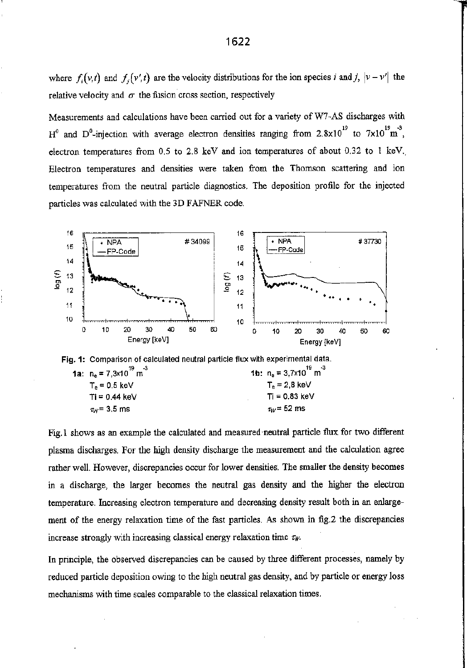where  $f_i(v,t)$  and  $f_i(v',t)$  are the velocity distributions for the ion species i and j,  $|v - v'|$  the relative velocity and  $\sigma$  the fusion cross section, respectively

Measurements and calculations have been carried out for <sup>a</sup> variety of W7~AS discharges with H<sup>°</sup> and D<sup>°</sup>-injection with average electron densities ranging from 2.8x10<sup>19</sup> to 7x10<sup>19</sup> m<sup>3</sup>, electron temperatures from  $0.5$  to  $2.8$  keV and ion temperatures of about  $0.32$  to 1 keV. Electron temperatures and densities were taken from the Thomson scattering and ion temperatures from the neutral particle diagnostics. The deposition profile for the injected particles was calculated with the 3D FAFNER code.



Fig.1 shows as an example the calculated and measured neutral particle flux for two different plasma discharges. For the high density discharge the measurement and the calculation agree rather well. However, discrepancies occur for lower densities. The smaller the density becomes in <sup>a</sup> discharge, the larger becomes the neutral gas density and the higher the electron temperature. Increasing electron temperature and decreasing density result both in an enlargement of the energy relaxation time of the fast particles. As shown in fig.2 the discrepancies increase strongly with increasing classical energy relaxation time  $\tau_W$ .

In principle, the observed discrepancies can be caused by three different processes, namely by reduced particle deposition owing to the high neutral gas density, and by particle or energy loss mechanisms with time scales comparable to the classical relaxation times.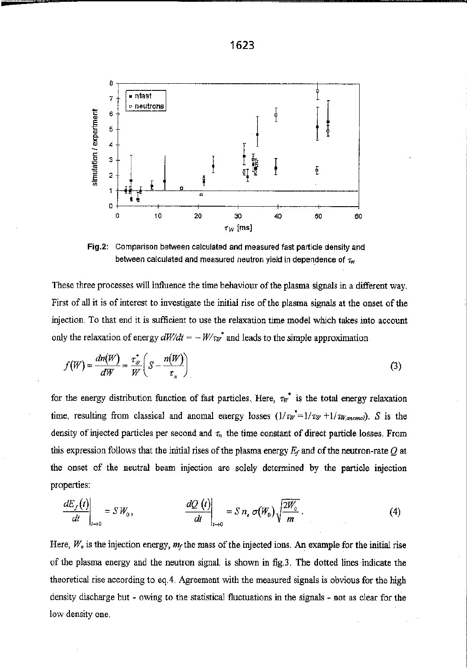

Fig.2: Comparison between calculated and measured fast particle density and between calculated and measured neutron yield in dependence of  $\tau_w$ 

These three processes will influence the time behaviour of the plasma signals in a different way. First of all it is of interest to investigate the initial rise of the plasma signals at the onset of the injection. To that end it is sufficient to use the relaxation time model which takes into account only the relaxation of energy  $dW/dt = -W/\tau_W^*$  and leads to the simple approximation

$$
f(W) = \frac{dn(W)}{dW} = \frac{\tau_w}{W} \left( S - \frac{n(W)}{\tau_n} \right)
$$
 (3)

for the energy distribution function of fast particles. Here,  $\tau_{W}^{*}$  is the total energy relaxation time, resulting from classical and anomal energy losses  $(1/\tau_W^* = 1/\tau_W + 1/\tau_{W,anomal})$ . S is the density of injected particles per second and  $\tau_n$  the time constant of direct particle losses. From this expression follows that the initial rises of the plasma energy  $E_f$  and of the neutron-rate  $Q$  at the onset of the neutral beam injection are solely determined by the particle injection properties:

$$
\left. \frac{dE_f(t)}{dt} \right|_{t \to 0} = SW_0, \qquad \left. \frac{dQ(t)}{dt} \right|_{t \to 0} = Sn_e \sigma(W_0) \sqrt{\frac{2W_0}{m}}. \tag{4}
$$

Here,  $W_0$  is the injection energy,  $m_f$  the mass of the injected ions. An example for the initial rise of the plasma energy and the neutron signal, is shown in fig.3. The dotted lines indicate the theoretical rise according to eq.4. Agreement with the measured signals is obvious for the high density discharge but - owing to the statistical fluctuations in the signals - not as clear for the low density one.